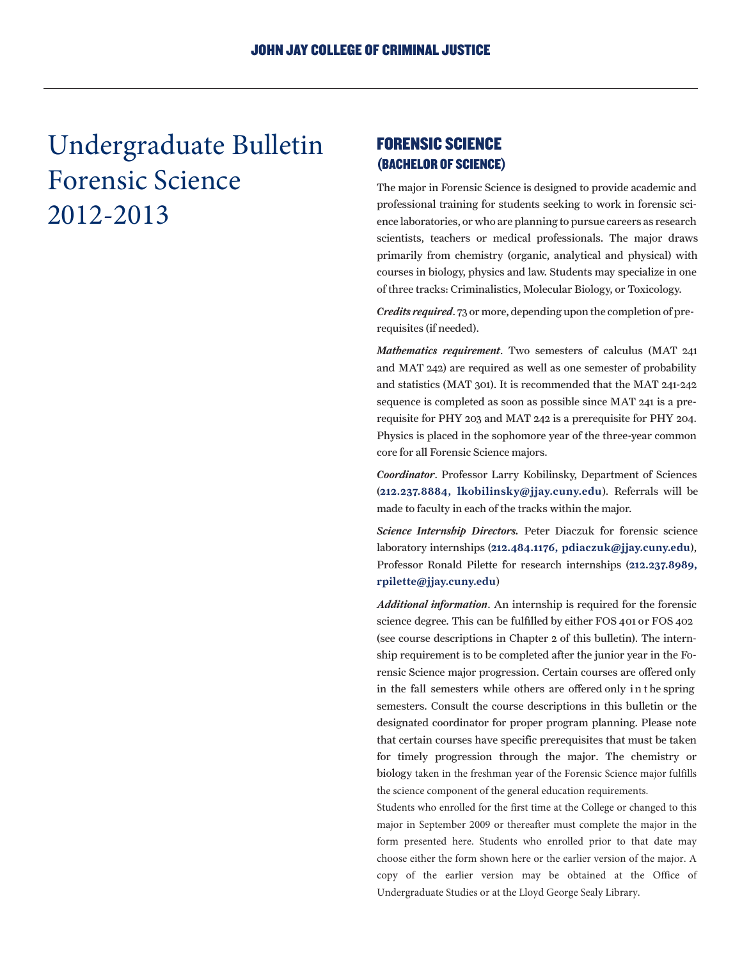Undergraduate Bulletin Forensic Science 2012-2013

## FORENSIC SCIENCE (BACHELOR OF SCIENCE)

The major in Forensic Science is designed to provide academic and professional training for students seeking to work in forensic science laboratories, or who are planning to pursue careers as research scientists, teachers or medical professionals. The major draws primarily from chemistry (organic, analytical and physical) with courses in biology, physics and law. Students may specialize in one of three tracks: Criminalistics, Molecular Biology, or Toxicology.

*Credits required*. 73 or more, depending upon the completion of prerequisites (if needed).

*Mathematics requirement*. Two semesters of calculus (MAT 241 and MAT 242) are required as well as one semester of probability and statistics (MAT 301). It is recommended that the MAT 241-242 sequence is completed as soon as possible since MAT 241 is a prerequisite for PHY 203 and MAT 242 is a prerequisite for PHY 204. Physics is placed in the sophomore year of the three-year common core for all Forensic Science majors.

*Coordinator*. Professor Larry Kobilinsky, Department of Sciences (212.237.8884, lkobilinsky@jjay.cuny.edu). Referrals will be made to faculty in each of the tracks within the major.

*Science Internship Directors.* Peter Diaczuk for forensic science laboratory internships (212.484.1176, pdiaczuk@jjay.cuny.edu), Professor Ronald Pilette for research internships (212.237.8989, rpilette@jjay.cuny.edu)

*Additional information*. An internship is required for the forensic science degree. This can be fulfilled by either FOS 401 or FOS 402 (see course descriptions in Chapter 2 of this bulletin). The internship requirement is to be completed after the junior year in the Forensic Science major progression. Certain courses are offered only in the fall semesters while others are offered only in the spring semesters. Consult the course descriptions in this bulletin or the designated coordinator for proper program planning. Please note that certain courses have specific prerequisites that must be taken for timely progression through the major. The chemistry or biology taken in the freshman year of the Forensic Science major fulfills the science component of the general education requirements.

Students who enrolled for the first time at the College or changed to this major in September 2009 or thereafter must complete the major in the form presented here. Students who enrolled prior to that date may choose either the form shown here or the earlier version of the major. A copy of the earlier version may be obtained at the Office of Undergraduate Studies or at the Lloyd George Sealy Library.